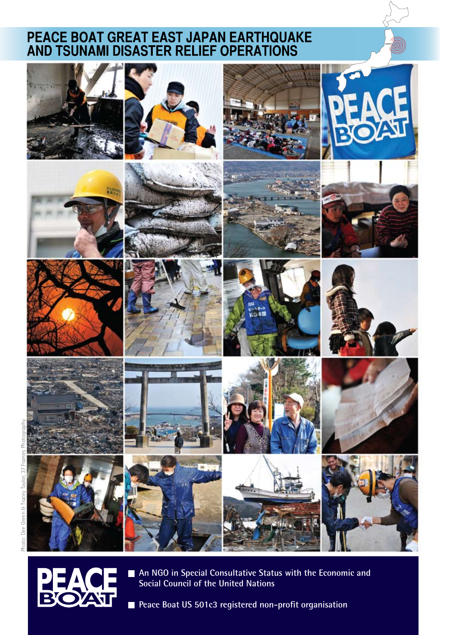# PEACE BOAT GREAT EAST JAPAN EARTHQUAKE<br>AND TSUNAMI DISASTER RELIEF OPERATIONS









**An NGO in Special Consultative Status with the Economic and Social Council of the United Nations**

**Peace Boat US 501c3 registered non-profit organisation** 

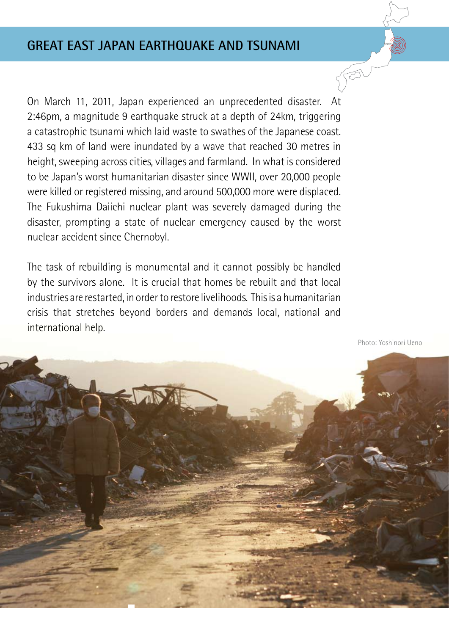On March 11, 2011, Japan experienced an unprecedented disaster. At 2:46pm, a magnitude 9 earthquake struck at a depth of 24km, triggering a catastrophic tsunami which laid waste to swathes of the Japanese coast. 433 sq km of land were inundated by a wave that reached 30 metres in height, sweeping across cities, villages and farmland. In what is considered to be Japan's worst humanitarian disaster since WWII, over 20,000 people were killed or registered missing, and around 500,000 more were displaced. The Fukushima Daiichi nuclear plant was severely damaged during the disaster, prompting a state of nuclear emergency caused by the worst nuclear accident since Chernobyl.

The task of rebuilding is monumental and it cannot possibly be handled by the survivors alone. It is crucial that homes be rebuilt and that local industries are restarted, in order to restore livelihoods. This is a humanitarian crisis that stretches beyond borders and demands local, national and international help.

Photo: Yoshinori Ueno

 $\sqrt{5}$ 

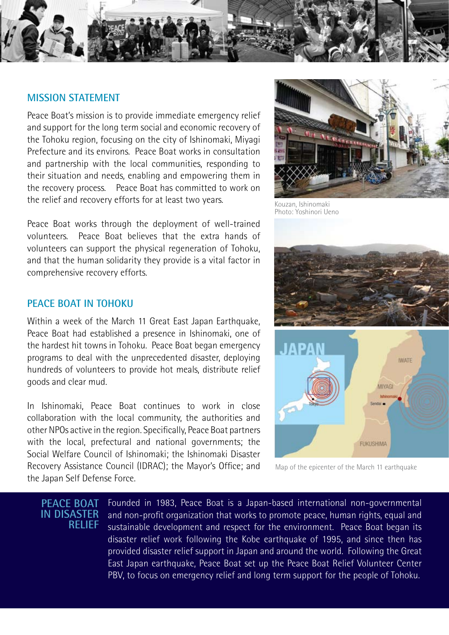

### **MISSION STATEMENT**

Peace Boat's mission is to provide immediate emergency relief and support for the long term social and economic recovery of the Tohoku region, focusing on the city of Ishinomaki, Miyagi Prefecture and its environs. Peace Boat works in consultation and partnership with the local communities, responding to their situation and needs, enabling and empowering them in the recovery process. Peace Boat has committed to work on the relief and recovery efforts for at least two years.

Peace Boat works through the deployment of well-trained volunteers. Peace Boat believes that the extra hands of volunteers can support the physical regeneration of Tohoku, and that the human solidarity they provide is a vital factor in comprehensive recovery efforts.

### **PEACE BOAT IN TOHOKU**

Within a week of the March 11 Great East Japan Earthquake, Peace Boat had established a presence in Ishinomaki, one of the hardest hit towns in Tohoku. Peace Boat began emergency programs to deal with the unprecedented disaster, deploying hundreds of volunteers to provide hot meals, distribute relief goods and clear mud.

In Ishinomaki, Peace Boat continues to work in close collaboration with the local community, the authorities and other NPOs active in the region. Specifically, Peace Boat partners with the local, prefectural and national governments; the Social Welfare Council of Ishinomaki; the Ishinomaki Disaster Recovery Assistance Council (IDRAC); the Mayor's Office; and the Japan Self Defense Force.



Kouzan, Ishinomaki Photo: Yoshinori Ueno



Map of the epicenter of the March 11 earthquake

**PEACE BOAT IN DISASTER RELIEF** Founded in 1983, Peace Boat is a Japan-based international non-governmental and non-profit organization that works to promote peace, human rights, equal and sustainable development and respect for the environment. Peace Boat began its disaster relief work following the Kobe earthquake of 1995, and since then has provided disaster relief support in Japan and around the world. Following the Great East Japan earthquake, Peace Boat set up the Peace Boat Relief Volunteer Center PBV, to focus on emergency relief and long term support for the people of Tohoku.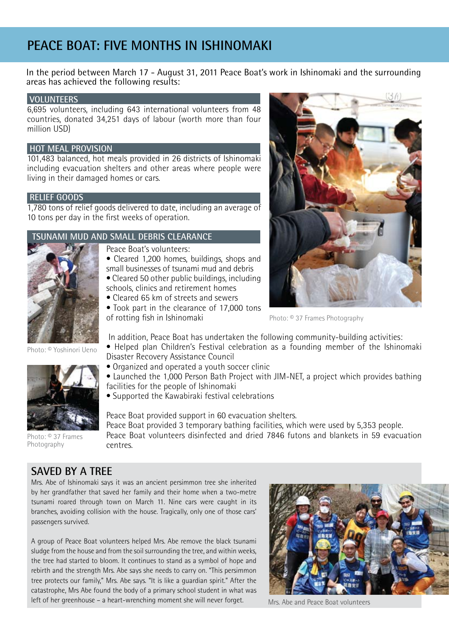# **PEACE BOAT: FIVE MONTHS IN ISHINOMAKI**

In the period between March 17 - August 31, 2011 Peace Boat's work in Ishinomaki and the surrounding areas has achieved the following results:

### **VOLUNTEERS**

6,695 volunteers, including 643 international volunteers from 48 countries, donated 34,251 days of labour (worth more than four million USD)

### **HOT MEAL PROVISION**

101,483 balanced, hot meals provided in 26 districts of Ishinomaki including evacuation shelters and other areas where people were living in their damaged homes or cars.

### **RELIEF GOODS**

1,780 tons of relief goods delivered to date, including an average of 10 tons per day in the first weeks of operation.

### **TSUNAMI MUD AND SMALL DEBRIS CLEARANCE**





- Cleared 1,200 homes, buildings, shops and
- small businesses of tsunami mud and debris • Cleared 50 other public buildings, including schools, clinics and retirement homes
- Cleared 65 km of streets and sewers
- Took part in the clearance of 17,000 tons of rotting fish in Ishinomaki

In addition, Peace Boat has undertaken the following community-building activities:

- Helped plan Children's Festival celebration as a founding member of the Ishinomaki Disaster Recovery Assistance Council
- Organized and operated a youth soccer clinic
- Launched the 1,000 Person Bath Project with JIM-NET, a project which provides bathing facilities for the people of Ishinomaki
- Supported the Kawabiraki festival celebrations

Peace Boat provided support in 60 evacuation shelters. Peace Boat provided 3 temporary bathing facilities, which were used by 5,353 people. Peace Boat volunteers disinfected and dried 7846 futons and blankets in 59 evacuation centres.

Photo: © Yoshinori Ueno



Photo: © 37 Frames Photography

### **SAVED BY A TREE**

Mrs. Abe of Ishinomaki says it was an ancient persimmon tree she inherited by her grandfather that saved her family and their home when a two-metre tsunami roared through town on March 11. Nine cars were caught in its branches, avoiding collision with the house. Tragically, only one of those cars' passengers survived.

A group of Peace Boat volunteers helped Mrs. Abe remove the black tsunami sludge from the house and from the soil surrounding the tree, and within weeks, the tree had started to bloom. It continues to stand as a symbol of hope and rebirth and the strength Mrs. Abe says she needs to carry on. "This persimmon tree protects our family," Mrs. Abe says. "It is like a guardian spirit." After the catastrophe, Mrs Abe found the body of a primary school student in what was left of her greenhouse – a heart-wrenching moment she will never forget.



Mrs. Abe and Peace Boat volunteers



Photo: © 37 Frames Photography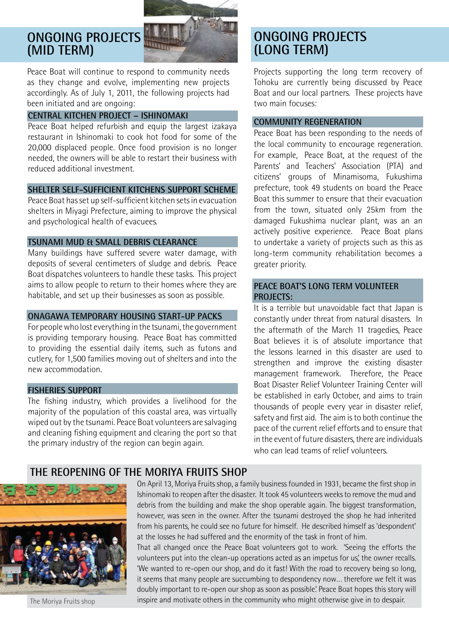### **ONGOING PROJECTS (MID TERM)**



Peace Boat will continue to respond to community needs as they change and evolve, implementing new projects accordingly. As of July 1, 2011, the following projects had been initiated and are ongoing:

### **CENTRAL KITCHEN PROJECT – ISHINOMAKI**

Peace Boat helped refurbish and equip the largest izakaya restaurant in Ishinomaki to cook hot food for some of the 20,000 displaced people. Once food provision is no longer needed, the owners will be able to restart their business with reduced additional investment.

### **SHELTER SELF-SUFFICIENT KITCHENS SUPPORT SCHEME**

Peace Boat has set up self-sufficient kitchen sets in evacuation shelters in Miyagi Prefecture, aiming to improve the physical and psychological health of evacuees.

### **TSUNAMI MUD & SMALL DEBRIS CLEARANCE**

Many buildings have suffered severe water damage, with deposits of several centimeters of sludge and debris. Peace Boat dispatches volunteers to handle these tasks. This project aims to allow people to return to their homes where they are habitable, and set up their businesses as soon as possible.

### **ONAGAWA TEMPORARY HOUSING START-UP PACKS**

For people who lost everything in the tsunami, the government is providing temporary housing. Peace Boat has committed to providing the essential daily items, such as futons and cutlery, for 1,500 families moving out of shelters and into the new accommodation.

### **FISHERIES SUPPORT**

The fishing industry, which provides a livelihood for the majority of the population of this coastal area, was virtually wiped out by the tsunami. Peace Boat volunteers are salvaging and cleaning fishing equipment and clearing the port so that the primary industry of the region can begin again.

### **ONGOING PROJECTS (LONG TERM)**

Projects supporting the long term recovery of Tohoku are currently being discussed by Peace Boat and our local partners. These projects have two main focuses:

### **COMMUNITY REGENERATION**

Peace Boat has been responding to the needs of the local community to encourage regeneration. For example, Peace Boat, at the request of the Parents' and Teachers' Association (PTA) and citizens' groups of Minamisoma, Fukushima prefecture, took 49 students on board the Peace Boat this summer to ensure that their evacuation from the town, situated only 25km from the damaged Fukushima nuclear plant, was an an actively positive experience. Peace Boat plans to undertake a variety of projects such as this as long-term community rehabilitation becomes a greater priority.

### **PEACE BOAT'S LONG TERM VOLUNTEER PROJECTS:**

It is a terrible but unavoidable fact that Japan is constantly under threat from natural disasters. In the aftermath of the March 11 tragedies, Peace Boat believes it is of absolute importance that the lessons learned in this disaster are used to strengthen and improve the existing disaster management framework. Therefore, the Peace Boat Disaster Relief Volunteer Training Center will be established in early October, and aims to train thousands of people every year in disaster relief, safety and first aid. The aim is to both continue the pace of the current relief efforts and to ensure that in the event of future disasters, there are individuals who can lead teams of relief volunteers.

### **THE REOPENING OF THE MORIYA FRUITS SHOP**



The Moriya Fruits shop

On April 13, Moriya Fruits shop, a family business founded in 1931, became the first shop in Ishinomaki to reopen after the disaster. It took 45 volunteers weeks to remove the mud and debris from the building and make the shop operable again. The biggest transformation, however, was seen in the owner. After the tsunami destroyed the shop he had inherited from his parents, he could see no future for himself. He described himself as 'despondent' at the losses he had suffered and the enormity of the task in front of him.

That all changed once the Peace Boat volunteers got to work. 'Seeing the efforts the volunteers put into the clean-up operations acted as an impetus for us' the owner recalls. 'We wanted to re-open our shop, and do it fast! With the road to recovery being so long, it seems that many people are succumbing to despondency now… therefore we felt it was doubly important to re-open our shop as soon as possible.' Peace Boat hopes this story will inspire and motivate others in the community who might otherwise give in to despair.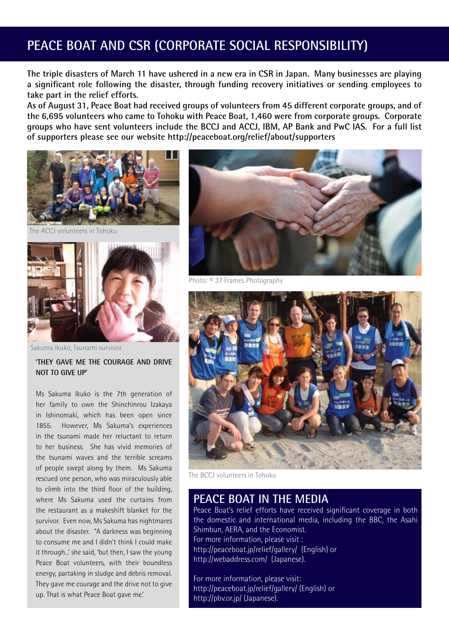## **PEACE BOAT AND CSR (CORPORATE SOCIAL RESPONSIBILITY)**

**The triple disasters of March 11 have ushered in a new era in CSR in Japan. Many businesses are playing a significant role following the disaster, through funding recovery initiatives or sending employees to take part in the relief efforts.** 

**As of August 31, Peace Boat had received groups of volunteers from 45 different corporate groups, and of the 6,695 volunteers who came to Tohoku with Peace Boat, 1,460 were from corporate groups. Corporate groups who have sent volunteers include the BCCJ and ACCJ, IBM, AP Bank and PwC IAS. For a full list of supporters please see our website http://peaceboat.org/relief/about/supporters** 



volunteers in Tohoku



Sakuma Ikuko, Tsunami survivor

**'THEY GAVE ME THE COURAGE AND DRIVE NOT TO GIVE UP'**

Ms Sakuma Ikuko is the 7th generation of her family to own the Shinchinrou Izakaya in Ishinomaki, which has been open since 1855. However, Ms Sakuma's experiences in the tsunami made her reluctant to return to her business. She has vivid memories of the tsunami waves and the terrible screams of people swept along by them. Ms Sakuma rescued one person, who was miraculously able to climb into the third floor of the building, where Ms Sakuma used the curtains from the restaurant as a makeshift blanket for the survivor. Even now, Ms Sakuma has nightmares about the disaster. "A darkness was beginning to consume me and I didn't think I could make it through...' she said, 'but then, I saw the young Peace Boat volunteers, with their boundless energy, partaking in sludge and debris removal. They gave me courage and the drive not to give up. That is what Peace Boat gave me.'



Photo: © 37 Frames Photography



The BCCJ volunteers in Tohoku

### **PEACE BOAT IN THE MEDIA**

Peace Boat's relief efforts have received significant coverage in both the domestic and international media, including the BBC, the Asahi Shimbun, AERA, and the Economist. For more information, please visit : http://peaceboat.jp/relief/gallery/ (English) or http://webaddress.com/ (Japanese).

For more information, please visit: http://peaceboat.jp/relief/gallery/ (English) or http://pbv.or.jp/ (Japanese).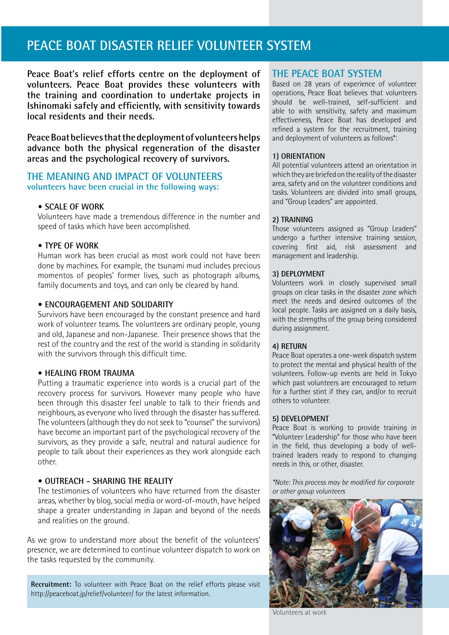## **PEACE BOAT DISASTER RELIEF VOLUNTEER SYSTEM**

**Peace Boat's relief efforts centre on the deployment of volunteers. Peace Boat provides these volunteers with the training and coordination to undertake projects in Ishinomaki safely and efficiently, with sensitivity towards local residents and their needs.** 

**Peace Boat believes that the deployment of volunteers helps advance both the physical regeneration of the disaster areas and the psychological recovery of survivors.**

### **THE MEANING AND IMPACT OF VOLUNTEERS volunteers have been crucial in the following ways:**

### **• SCALE OF WORK**

Volunteers have made a tremendous difference in the number and speed of tasks which have been accomplished.

### **• TYPE OF WORK**

Human work has been crucial as most work could not have been done by machines. For example, the tsunami mud includes precious momentos of peoples' former lives, such as photograph albums, family documents and toys, and can only be cleared by hand.

### **• ENCOURAGEMENT AND SOLIDARITY**

Survivors have been encouraged by the constant presence and hard work of volunteer teams. The volunteers are ordinary people, young and old, Japanese and non-Japanese. Their presence shows that the rest of the country and the rest of the world is standing in solidarity with the survivors through this difficult time.

### **• HEALING FROM TRAUMA**

Putting a traumatic experience into words is a crucial part of the recovery process for survivors. However many people who have been through this disaster feel unable to talk to their friends and neighbours, as everyone who lived through the disaster has suffered. The volunteers (although they do not seek to "counsel" the survivors) have become an important part of the psychological recovery of the survivors, as they provide a safe, neutral and natural audience for people to talk about their experiences as they work alongside each other.

#### **• OUTREACH - SHARING THE REALITY**

The testimonies of volunteers who have returned from the disaster areas, whether by blog, social media or word-of-mouth, have helped shape a greater understanding in Japan and beyond of the needs and realities on the ground.

As we grow to understand more about the benefit of the volunteers' presence, we are determined to continue volunteer dispatch to work on the tasks requested by the community.

**Recruitment:** To volunteer with Peace Boat on the relief efforts please visit http://peaceboat.jp/relief/volunteer/ for the latest information.

### **THE PEACE BOAT SYSTEM**

Based on 28 years of experience of volunteer operations, Peace Boat believes that volunteers should be well-trained, self-sufficient and able to with sensitivity, safety and maximum effectiveness, Peace Boat has developed and refined a system for the recruitment, training and deployment of volunteers as follows\*:

### **1) ORIENTATION**

All potential volunteers attend an orientation in which they are briefed on the reality of the disaster area, safety and on the volunteer conditions and tasks. Volunteers are divided into small groups, and "Group Leaders" are appointed.

#### **2) TRAINING**

Those volunteers assigned as "Group Leaders" undergo a further intensive training session, covering first aid, risk assessment and management and leadership.

#### **3) DEPLOYMENT**

Volunteers work in closely supervised small groups on clear tasks in the disaster zone which meet the needs and desired outcomes of the local people. Tasks are assigned on a daily basis, with the strengths of the group being considered during assignment.

#### **4) RETURN**

Peace Boat operates a one-week dispatch system to protect the mental and physical health of the volunteers. Follow-up events are held in Tokyo which past volunteers are encouraged to return for a further stint if they can, and/or to recruit others to volunteer.

#### **5) DEVELOPMENT**

Peace Boat is working to provide training in "Volunteer Leadership" for those who have been in the field, thus developing a body of welltrained leaders ready to respond to changing needs in this, or other, disaster.

*\*Note: This process may be modified for corporate or other group volunteers*



Volunteers at work